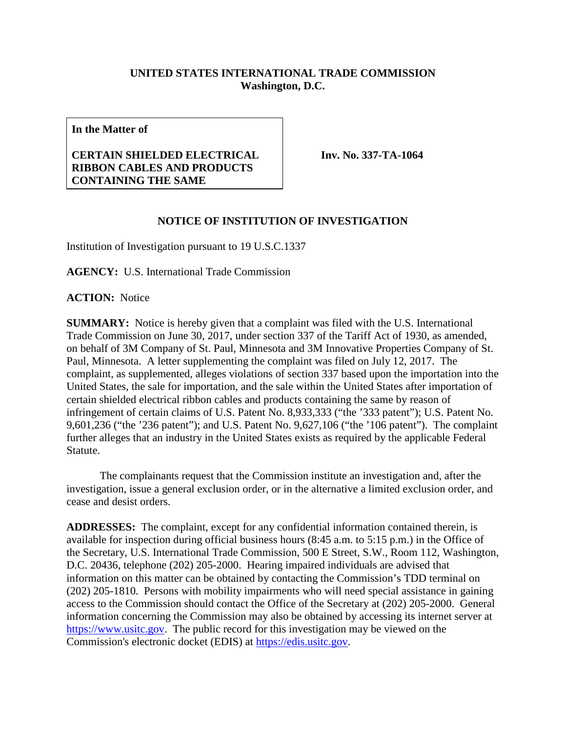## **UNITED STATES INTERNATIONAL TRADE COMMISSION Washington, D.C.**

**In the Matter of**

## **CERTAIN SHIELDED ELECTRICAL RIBBON CABLES AND PRODUCTS CONTAINING THE SAME**

**Inv. No. 337-TA-1064**

## **NOTICE OF INSTITUTION OF INVESTIGATION**

Institution of Investigation pursuant to 19 U.S.C.1337

**AGENCY:** U.S. International Trade Commission

**ACTION:** Notice

**SUMMARY:** Notice is hereby given that a complaint was filed with the U.S. International Trade Commission on June 30, 2017, under section 337 of the Tariff Act of 1930, as amended, on behalf of 3M Company of St. Paul, Minnesota and 3M Innovative Properties Company of St. Paul, Minnesota. A letter supplementing the complaint was filed on July 12, 2017. The complaint, as supplemented, alleges violations of section 337 based upon the importation into the United States, the sale for importation, and the sale within the United States after importation of certain shielded electrical ribbon cables and products containing the same by reason of infringement of certain claims of U.S. Patent No. 8,933,333 ("the '333 patent"); U.S. Patent No. 9,601,236 ("the '236 patent"); and U.S. Patent No. 9,627,106 ("the '106 patent"). The complaint further alleges that an industry in the United States exists as required by the applicable Federal Statute.

The complainants request that the Commission institute an investigation and, after the investigation, issue a general exclusion order, or in the alternative a limited exclusion order, and cease and desist orders.

**ADDRESSES:** The complaint, except for any confidential information contained therein, is available for inspection during official business hours (8:45 a.m. to 5:15 p.m.) in the Office of the Secretary, U.S. International Trade Commission, 500 E Street, S.W., Room 112, Washington, D.C. 20436, telephone (202) 205-2000. Hearing impaired individuals are advised that information on this matter can be obtained by contacting the Commission's TDD terminal on (202) 205-1810. Persons with mobility impairments who will need special assistance in gaining access to the Commission should contact the Office of the Secretary at (202) 205-2000. General information concerning the Commission may also be obtained by accessing its internet server at [https://www.usitc.gov.](https://www.usitc.gov/) The public record for this investigation may be viewed on the Commission's electronic docket (EDIS) at [https://edis.usitc.gov.](https://edis.usitc.gov/)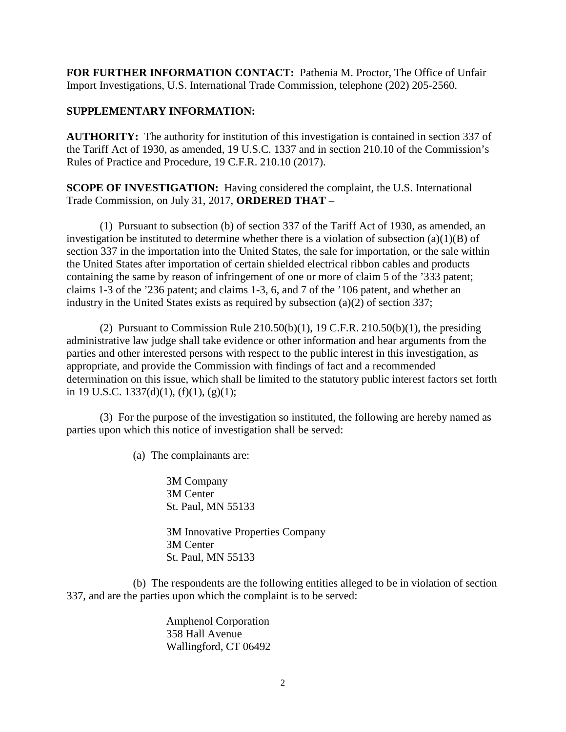**FOR FURTHER INFORMATION CONTACT:** Pathenia M. Proctor, The Office of Unfair Import Investigations, U.S. International Trade Commission, telephone (202) 205-2560.

## **SUPPLEMENTARY INFORMATION:**

**AUTHORITY:** The authority for institution of this investigation is contained in section 337 of the Tariff Act of 1930, as amended, 19 U.S.C. 1337 and in section 210.10 of the Commission's Rules of Practice and Procedure, 19 C.F.R. 210.10 (2017).

**SCOPE OF INVESTIGATION:** Having considered the complaint, the U.S. International Trade Commission, on July 31, 2017, **ORDERED THAT** –

(1) Pursuant to subsection (b) of section 337 of the Tariff Act of 1930, as amended, an investigation be instituted to determine whether there is a violation of subsection  $(a)(1)(B)$  of section 337 in the importation into the United States, the sale for importation, or the sale within the United States after importation of certain shielded electrical ribbon cables and products containing the same by reason of infringement of one or more of claim 5 of the '333 patent; claims 1-3 of the '236 patent; and claims 1-3, 6, and 7 of the '106 patent, and whether an industry in the United States exists as required by subsection (a)(2) of section 337;

(2) Pursuant to Commission Rule  $210.50(b)(1)$ , 19 C.F.R.  $210.50(b)(1)$ , the presiding administrative law judge shall take evidence or other information and hear arguments from the parties and other interested persons with respect to the public interest in this investigation, as appropriate, and provide the Commission with findings of fact and a recommended determination on this issue, which shall be limited to the statutory public interest factors set forth in 19 U.S.C. 1337(d)(1), (f)(1), (g)(1);

(3) For the purpose of the investigation so instituted, the following are hereby named as parties upon which this notice of investigation shall be served:

(a) The complainants are:

3M Company 3M Center St. Paul, MN 55133 3M Innovative Properties Company 3M Center

St. Paul, MN 55133

(b) The respondents are the following entities alleged to be in violation of section 337, and are the parties upon which the complaint is to be served:

> Amphenol Corporation 358 Hall Avenue Wallingford, CT 06492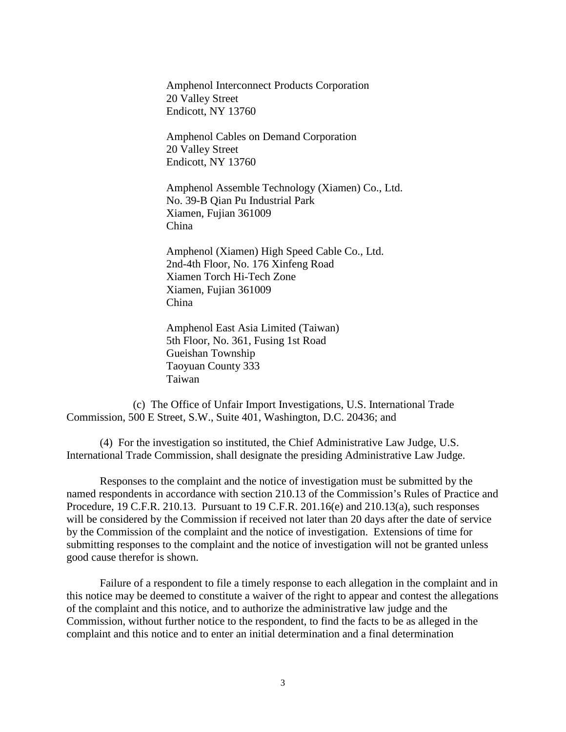Amphenol Interconnect Products Corporation 20 Valley Street Endicott, NY 13760

Amphenol Cables on Demand Corporation 20 Valley Street Endicott, NY 13760

Amphenol Assemble Technology (Xiamen) Co., Ltd. No. 39-B Qian Pu Industrial Park Xiamen, Fujian 361009 China

Amphenol (Xiamen) High Speed Cable Co., Ltd. 2nd-4th Floor, No. 176 Xinfeng Road Xiamen Torch Hi-Tech Zone Xiamen, Fujian 361009 China

Amphenol East Asia Limited (Taiwan) 5th Floor, No. 361, Fusing 1st Road Gueishan Township Taoyuan County 333 Taiwan

(c) The Office of Unfair Import Investigations, U.S. International Trade Commission, 500 E Street, S.W., Suite 401, Washington, D.C. 20436; and

(4) For the investigation so instituted, the Chief Administrative Law Judge, U.S. International Trade Commission, shall designate the presiding Administrative Law Judge.

Responses to the complaint and the notice of investigation must be submitted by the named respondents in accordance with section 210.13 of the Commission's Rules of Practice and Procedure, 19 C.F.R. 210.13. Pursuant to 19 C.F.R. 201.16(e) and 210.13(a), such responses will be considered by the Commission if received not later than 20 days after the date of service by the Commission of the complaint and the notice of investigation. Extensions of time for submitting responses to the complaint and the notice of investigation will not be granted unless good cause therefor is shown.

Failure of a respondent to file a timely response to each allegation in the complaint and in this notice may be deemed to constitute a waiver of the right to appear and contest the allegations of the complaint and this notice, and to authorize the administrative law judge and the Commission, without further notice to the respondent, to find the facts to be as alleged in the complaint and this notice and to enter an initial determination and a final determination